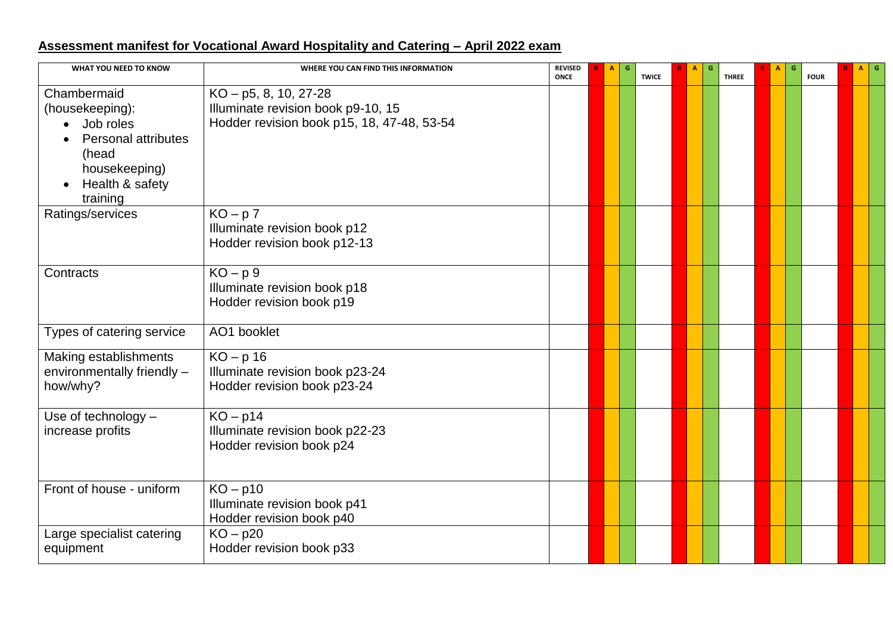## **Assessment manifest for Vocational Award Hospitality and Catering – April 2022 exam**

| WHAT YOU NEED TO KNOW                                                                                                              | WHERE YOU CAN FIND THIS INFORMATION                                                                          | <b>REVISED</b><br><b>ONCE</b> | G<br>A | <b>TWICE</b> | $\mathbf{A}$ | G | <b>THREE</b> | A | G | <b>FOUR</b> | $A$ G |  |
|------------------------------------------------------------------------------------------------------------------------------------|--------------------------------------------------------------------------------------------------------------|-------------------------------|--------|--------------|--------------|---|--------------|---|---|-------------|-------|--|
| Chambermaid<br>(housekeeping):<br>Job roles<br><b>Personal attributes</b><br>(head<br>housekeeping)<br>Health & safety<br>training | $KO - p5$ , 8, 10, 27-28<br>Illuminate revision book p9-10, 15<br>Hodder revision book p15, 18, 47-48, 53-54 |                               |        |              |              |   |              |   |   |             |       |  |
| Ratings/services                                                                                                                   | $KO-p7$<br>Illuminate revision book p12<br>Hodder revision book p12-13                                       |                               |        |              |              |   |              |   |   |             |       |  |
| Contracts                                                                                                                          | $KO-p9$<br>Illuminate revision book p18<br>Hodder revision book p19                                          |                               |        |              |              |   |              |   |   |             |       |  |
| Types of catering service                                                                                                          | AO1 booklet                                                                                                  |                               |        |              |              |   |              |   |   |             |       |  |
| Making establishments<br>environmentally friendly -<br>how/why?                                                                    | $KO - p 16$<br>Illuminate revision book p23-24<br>Hodder revision book p23-24                                |                               |        |              |              |   |              |   |   |             |       |  |
| Use of technology -<br>increase profits                                                                                            | $KO - p14$<br>Illuminate revision book p22-23<br>Hodder revision book p24                                    |                               |        |              |              |   |              |   |   |             |       |  |
| Front of house - uniform                                                                                                           | $KO - p10$<br>Illuminate revision book p41<br>Hodder revision book p40                                       |                               |        |              |              |   |              |   |   |             |       |  |
| Large specialist catering<br>equipment                                                                                             | $KO - p20$<br>Hodder revision book p33                                                                       |                               |        |              |              |   |              |   |   |             |       |  |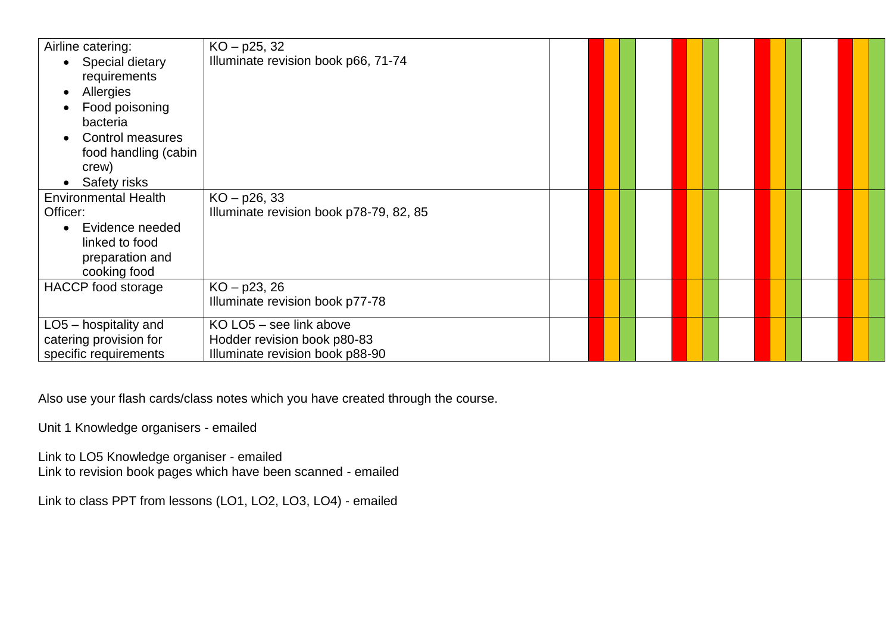| Airline catering:            | $KO - p25, 32$                          |  |  |  |  |
|------------------------------|-----------------------------------------|--|--|--|--|
| Special dietary              | Illuminate revision book p66, 71-74     |  |  |  |  |
| requirements                 |                                         |  |  |  |  |
| Allergies                    |                                         |  |  |  |  |
| Food poisoning               |                                         |  |  |  |  |
| bacteria                     |                                         |  |  |  |  |
| Control measures             |                                         |  |  |  |  |
| food handling (cabin         |                                         |  |  |  |  |
| crew)                        |                                         |  |  |  |  |
| Safety risks                 |                                         |  |  |  |  |
| <b>Environmental Health</b>  | $KO - p26, 33$                          |  |  |  |  |
| Officer:                     | Illuminate revision book p78-79, 82, 85 |  |  |  |  |
| Evidence needed<br>$\bullet$ |                                         |  |  |  |  |
| linked to food               |                                         |  |  |  |  |
| preparation and              |                                         |  |  |  |  |
| cooking food                 |                                         |  |  |  |  |
| HACCP food storage           | $KO - p23, 26$                          |  |  |  |  |
|                              | Illuminate revision book p77-78         |  |  |  |  |
| $LO5$ – hospitality and      | KO LO5 - see link above                 |  |  |  |  |
| catering provision for       | Hodder revision book p80-83             |  |  |  |  |
| specific requirements        | Illuminate revision book p88-90         |  |  |  |  |

Also use your flash cards/class notes which you have created through the course.

Unit 1 Knowledge organisers - emailed

Link to LO5 Knowledge organiser - emailed Link to revision book pages which have been scanned - emailed

Link to class PPT from lessons (LO1, LO2, LO3, LO4) - emailed